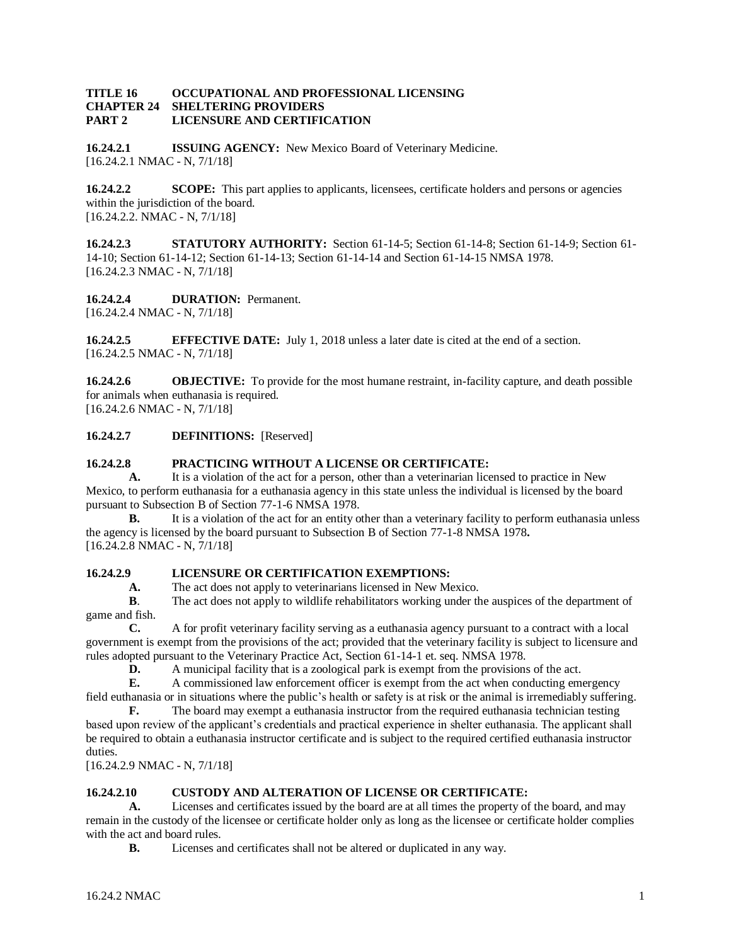#### **TITLE 16 OCCUPATIONAL AND PROFESSIONAL LICENSING CHAPTER 24 SHELTERING PROVIDERS PART 2 LICENSURE AND CERTIFICATION**

**16.24.2.1 ISSUING AGENCY:** New Mexico Board of Veterinary Medicine. [16.24.2.1 NMAC - N, 7/1/18]

**16.24.2.2 SCOPE:** This part applies to applicants, licensees, certificate holders and persons or agencies within the jurisdiction of the board. [16.24.2.2. NMAC - N, 7/1/18]

**16.24.2.3 STATUTORY AUTHORITY:** Section 61-14-5; Section 61-14-8; Section 61-14-9; Section 61- 14-10; Section 61-14-12; Section 61-14-13; Section 61-14-14 and Section 61-14-15 NMSA 1978. [16.24.2.3 NMAC - N, 7/1/18]

**16.24.2.4 DURATION:** Permanent. [16.24.2.4 NMAC - N, 7/1/18]

**16.24.2.5 EFFECTIVE DATE:** July 1, 2018 unless a later date is cited at the end of a section. [16.24.2.5 NMAC - N, 7/1/18]

**16.24.2.6 OBJECTIVE:** To provide for the most humane restraint, in-facility capture, and death possible for animals when euthanasia is required. [16.24.2.6 NMAC - N, 7/1/18]

**16.24.2.7 DEFINITIONS:** [Reserved]

#### **16.24.2.8 PRACTICING WITHOUT A LICENSE OR CERTIFICATE:**

**A.** It is a violation of the act for a person, other than a veterinarian licensed to practice in New Mexico, to perform euthanasia for a euthanasia agency in this state unless the individual is licensed by the board pursuant to Subsection B of Section 77-1-6 NMSA 1978.

**B.** It is a violation of the act for an entity other than a veterinary facility to perform euthanasia unless the agency is licensed by the board pursuant to Subsection B of Section 77-1-8 NMSA 1978**.** [16.24.2.8 NMAC - N, 7/1/18]

## **16.24.2.9 LICENSURE OR CERTIFICATION EXEMPTIONS:**

**A.** The act does not apply to veterinarians licensed in New Mexico.

**B**. The act does not apply to wildlife rehabilitators working under the auspices of the department of game and fish.

**C.** A for profit veterinary facility serving as a euthanasia agency pursuant to a contract with a local government is exempt from the provisions of the act; provided that the veterinary facility is subject to licensure and rules adopted pursuant to the Veterinary Practice Act, Section 61-14-1 et. seq. NMSA 1978.

**D.** A municipal facility that is a zoological park is exempt from the provisions of the act.<br> **E.** A commissioned law enforcement officer is exempt from the act when conducting em-

**E.** A commissioned law enforcement officer is exempt from the act when conducting emergency field euthanasia or in situations where the public's health or safety is at risk or the animal is irremediably suffering.

**F.** The board may exempt a euthanasia instructor from the required euthanasia technician testing based upon review of the applicant's credentials and practical experience in shelter euthanasia. The applicant shall be required to obtain a euthanasia instructor certificate and is subject to the required certified euthanasia instructor duties.

[16.24.2.9 NMAC - N, 7/1/18]

## **16.24.2.10 CUSTODY AND ALTERATION OF LICENSE OR CERTIFICATE:**

**A.** Licenses and certificates issued by the board are at all times the property of the board, and may remain in the custody of the licensee or certificate holder only as long as the licensee or certificate holder complies with the act and board rules.

**B.** Licenses and certificates shall not be altered or duplicated in any way.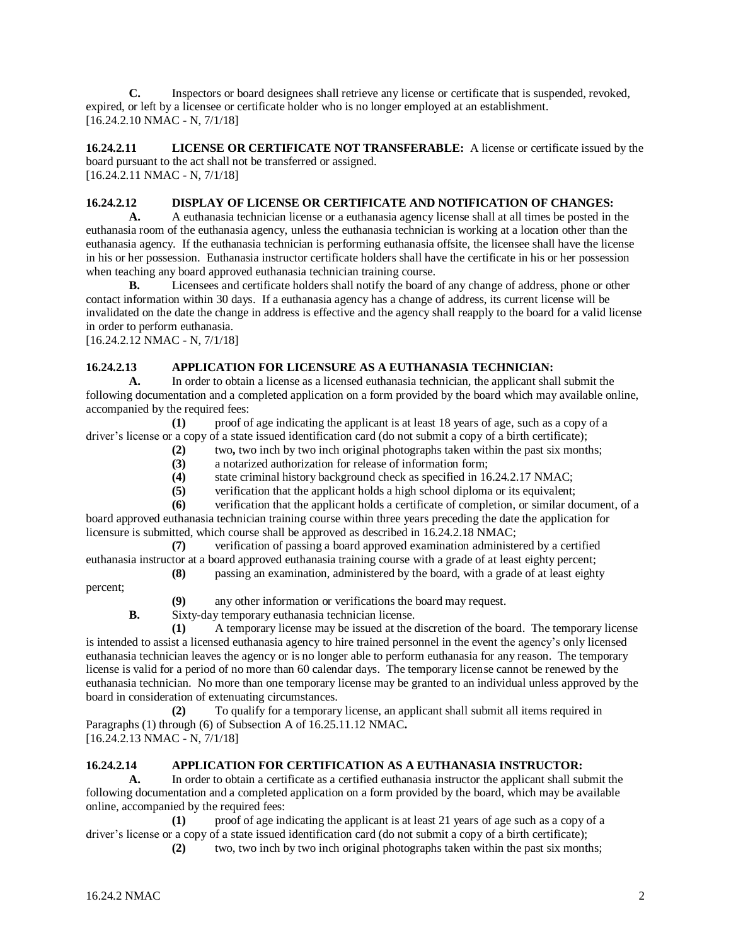**C.** Inspectors or board designees shall retrieve any license or certificate that is suspended, revoked, expired, or left by a licensee or certificate holder who is no longer employed at an establishment. [16.24.2.10 NMAC - N, 7/1/18]

**16.24.2.11 LICENSE OR CERTIFICATE NOT TRANSFERABLE:** A license or certificate issued by the board pursuant to the act shall not be transferred or assigned. [16.24.2.11 NMAC - N, 7/1/18]

### **16.24.2.12 DISPLAY OF LICENSE OR CERTIFICATE AND NOTIFICATION OF CHANGES:**

**A.** A euthanasia technician license or a euthanasia agency license shall at all times be posted in the euthanasia room of the euthanasia agency, unless the euthanasia technician is working at a location other than the euthanasia agency. If the euthanasia technician is performing euthanasia offsite, the licensee shall have the license in his or her possession. Euthanasia instructor certificate holders shall have the certificate in his or her possession when teaching any board approved euthanasia technician training course.

**B.** Licensees and certificate holders shall notify the board of any change of address, phone or other contact information within 30 days. If a euthanasia agency has a change of address, its current license will be invalidated on the date the change in address is effective and the agency shall reapply to the board for a valid license in order to perform euthanasia.

[16.24.2.12 NMAC - N, 7/1/18]

# **16.24.2.13 APPLICATION FOR LICENSURE AS A EUTHANASIA TECHNICIAN:**

**A.** In order to obtain a license as a licensed euthanasia technician, the applicant shall submit the following documentation and a completed application on a form provided by the board which may available online, accompanied by the required fees:

**(1)** proof of age indicating the applicant is at least 18 years of age, such as a copy of a driver's license or a copy of a state issued identification card (do not submit a copy of a birth certificate);

- **(2)** two**,** two inch by two inch original photographs taken within the past six months;
	- **(3)** a notarized authorization for release of information form;

**(4)** state criminal history background check as specified in 16.24.2.17 NMAC;

**(5)** verification that the applicant holds a high school diploma or its equivalent;

**(6)** verification that the applicant holds a certificate of completion, or similar document, of a board approved euthanasia technician training course within three years preceding the date the application for licensure is submitted, which course shall be approved as described in 16.24.2.18 NMAC;

**(7)** verification of passing a board approved examination administered by a certified euthanasia instructor at a board approved euthanasia training course with a grade of at least eighty percent;

**(8)** passing an examination, administered by the board, with a grade of at least eighty

percent;

**(9)** any other information or verifications the board may request.

**B.** Sixty-day temporary euthanasia technician license.

**(1)** A temporary license may be issued at the discretion of the board. The temporary license is intended to assist a licensed euthanasia agency to hire trained personnel in the event the agency's only licensed euthanasia technician leaves the agency or is no longer able to perform euthanasia for any reason. The temporary license is valid for a period of no more than 60 calendar days. The temporary license cannot be renewed by the euthanasia technician. No more than one temporary license may be granted to an individual unless approved by the board in consideration of extenuating circumstances.

**(2)** To qualify for a temporary license, an applicant shall submit all items required in Paragraphs (1) through (6) of Subsection A of 16.25.11.12 NMAC**.** [16.24.2.13 NMAC - N, 7/1/18]

## **16.24.2.14 APPLICATION FOR CERTIFICATION AS A EUTHANASIA INSTRUCTOR:**

**A.** In order to obtain a certificate as a certified euthanasia instructor the applicant shall submit the following documentation and a completed application on a form provided by the board, which may be available online, accompanied by the required fees:

**(1)** proof of age indicating the applicant is at least 21 years of age such as a copy of a driver's license or a copy of a state issued identification card (do not submit a copy of a birth certificate);

**(2)** two, two inch by two inch original photographs taken within the past six months;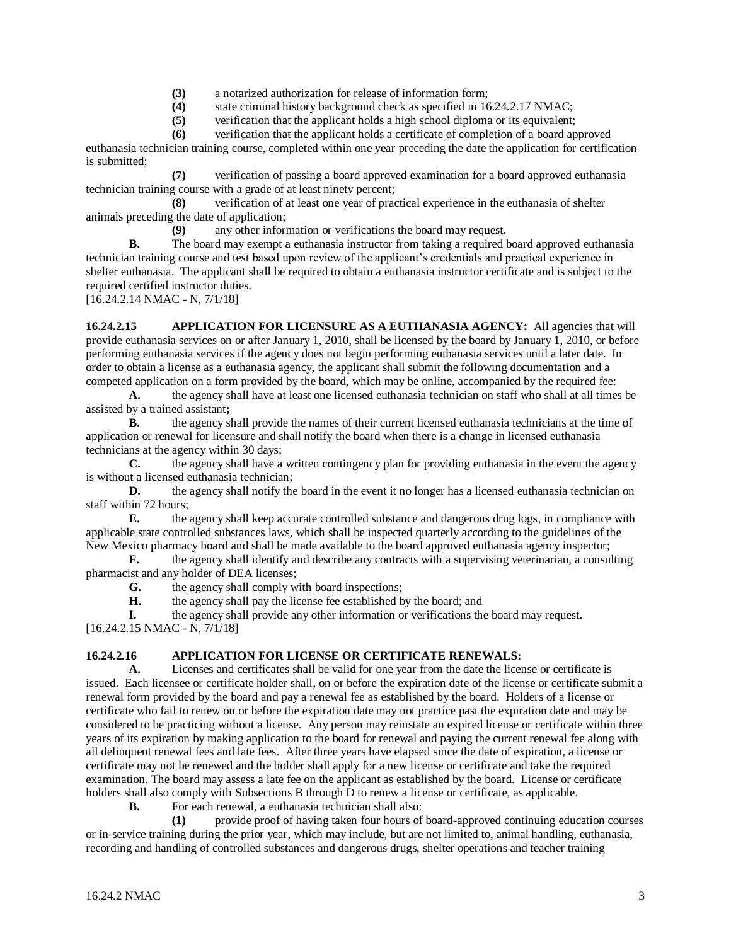- **(3)** a notarized authorization for release of information form;
- **(4)** state criminal history background check as specified in 16.24.2.17 NMAC;
- **(5)** verification that the applicant holds a high school diploma or its equivalent;

**(6)** verification that the applicant holds a certificate of completion of a board approved euthanasia technician training course, completed within one year preceding the date the application for certification

is submitted; **(7)** verification of passing a board approved examination for a board approved euthanasia technician training course with a grade of at least ninety percent;

**(8)** verification of at least one year of practical experience in the euthanasia of shelter animals preceding the date of application;

**(9)** any other information or verifications the board may request.

**B.** The board may exempt a euthanasia instructor from taking a required board approved euthanasia technician training course and test based upon review of the applicant's credentials and practical experience in shelter euthanasia. The applicant shall be required to obtain a euthanasia instructor certificate and is subject to the required certified instructor duties.

[16.24.2.14 NMAC - N, 7/1/18]

**16.24.2.15 APPLICATION FOR LICENSURE AS A EUTHANASIA AGENCY:** All agencies that will provide euthanasia services on or after January 1, 2010, shall be licensed by the board by January 1, 2010, or before performing euthanasia services if the agency does not begin performing euthanasia services until a later date. In order to obtain a license as a euthanasia agency, the applicant shall submit the following documentation and a competed application on a form provided by the board, which may be online, accompanied by the required fee:

**A.** the agency shall have at least one licensed euthanasia technician on staff who shall at all times be assisted by a trained assistant**;**

**B.** the agency shall provide the names of their current licensed euthanasia technicians at the time of application or renewal for licensure and shall notify the board when there is a change in licensed euthanasia technicians at the agency within 30 days;

**C.** the agency shall have a written contingency plan for providing euthanasia in the event the agency is without a licensed euthanasia technician;

**D.** the agency shall notify the board in the event it no longer has a licensed euthanasia technician on staff within 72 hours;

**E.** the agency shall keep accurate controlled substance and dangerous drug logs, in compliance with applicable state controlled substances laws, which shall be inspected quarterly according to the guidelines of the New Mexico pharmacy board and shall be made available to the board approved euthanasia agency inspector;<br> **F.** the agency shall identify and describe any contracts with a supervising veterinarian, a consul

**F.** the agency shall identify and describe any contracts with a supervising veterinarian, a consulting pharmacist and any holder of DEA licenses;

**G.** the agency shall comply with board inspections;

**H.** the agency shall pay the license fee established by the board; and

**I.** the agency shall provide any other information or verifications the board may request. [16.24.2.15 NMAC - N, 7/1/18]

## **16.24.2.16 APPLICATION FOR LICENSE OR CERTIFICATE RENEWALS:**

**A.** Licenses and certificates shall be valid for one year from the date the license or certificate is issued. Each licensee or certificate holder shall, on or before the expiration date of the license or certificate submit a renewal form provided by the board and pay a renewal fee as established by the board. Holders of a license or certificate who fail to renew on or before the expiration date may not practice past the expiration date and may be considered to be practicing without a license. Any person may reinstate an expired license or certificate within three years of its expiration by making application to the board for renewal and paying the current renewal fee along with all delinquent renewal fees and late fees. After three years have elapsed since the date of expiration, a license or certificate may not be renewed and the holder shall apply for a new license or certificate and take the required examination. The board may assess a late fee on the applicant as established by the board. License or certificate holders shall also comply with Subsections B through D to renew a license or certificate, as applicable.

**B.** For each renewal, a euthanasia technician shall also:

**(1)** provide proof of having taken four hours of board-approved continuing education courses or in-service training during the prior year, which may include, but are not limited to, animal handling, euthanasia, recording and handling of controlled substances and dangerous drugs, shelter operations and teacher training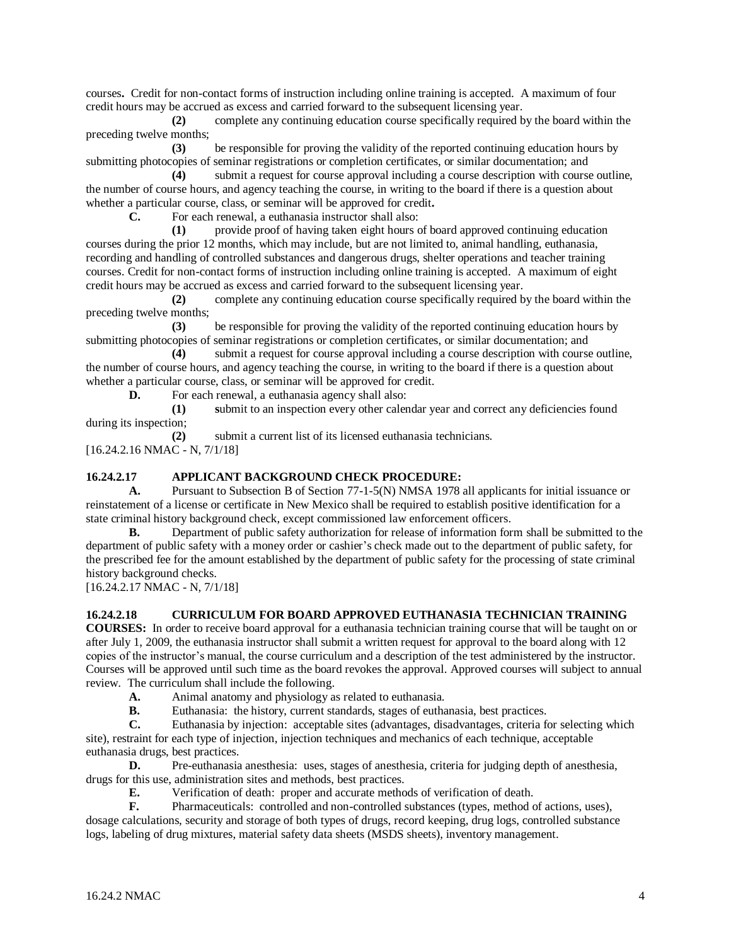courses**.** Credit for non-contact forms of instruction including online training is accepted. A maximum of four credit hours may be accrued as excess and carried forward to the subsequent licensing year.

**(2)** complete any continuing education course specifically required by the board within the preceding twelve months;

**(3)** be responsible for proving the validity of the reported continuing education hours by submitting photocopies of seminar registrations or completion certificates, or similar documentation; and

**(4)** submit a request for course approval including a course description with course outline, the number of course hours, and agency teaching the course, in writing to the board if there is a question about whether a particular course, class, or seminar will be approved for credit**.**

**C.** For each renewal, a euthanasia instructor shall also:

**(1)** provide proof of having taken eight hours of board approved continuing education courses during the prior 12 months, which may include, but are not limited to, animal handling, euthanasia, recording and handling of controlled substances and dangerous drugs, shelter operations and teacher training courses. Credit for non-contact forms of instruction including online training is accepted. A maximum of eight credit hours may be accrued as excess and carried forward to the subsequent licensing year.

**(2)** complete any continuing education course specifically required by the board within the preceding twelve months;

**(3)** be responsible for proving the validity of the reported continuing education hours by submitting photocopies of seminar registrations or completion certificates, or similar documentation; and

**(4)** submit a request for course approval including a course description with course outline, the number of course hours, and agency teaching the course, in writing to the board if there is a question about whether a particular course, class, or seminar will be approved for credit.

**D.** For each renewal, a euthanasia agency shall also:

**(1) s**ubmit to an inspection every other calendar year and correct any deficiencies found during its inspection;

**(2)** submit a current list of its licensed euthanasia technicians. [16.24.2.16 NMAC - N, 7/1/18]

#### **16.24.2.17 APPLICANT BACKGROUND CHECK PROCEDURE:**

**A.** Pursuant to Subsection B of Section 77-1-5(N) NMSA 1978 all applicants for initial issuance or reinstatement of a license or certificate in New Mexico shall be required to establish positive identification for a state criminal history background check, except commissioned law enforcement officers.

**B.** Department of public safety authorization for release of information form shall be submitted to the department of public safety with a money order or cashier's check made out to the department of public safety, for the prescribed fee for the amount established by the department of public safety for the processing of state criminal history background checks.

[16.24.2.17 NMAC - N, 7/1/18]

#### **16.24.2.18 CURRICULUM FOR BOARD APPROVED EUTHANASIA TECHNICIAN TRAINING**

**COURSES:** In order to receive board approval for a euthanasia technician training course that will be taught on or after July 1, 2009, the euthanasia instructor shall submit a written request for approval to the board along with 12 copies of the instructor's manual, the course curriculum and a description of the test administered by the instructor. Courses will be approved until such time as the board revokes the approval. Approved courses will subject to annual review. The curriculum shall include the following.

- **A.** Animal anatomy and physiology as related to euthanasia.
- **B.** Euthanasia: the history, current standards, stages of euthanasia, best practices.

**C.** Euthanasia by injection: acceptable sites (advantages, disadvantages, criteria for selecting which site), restraint for each type of injection, injection techniques and mechanics of each technique, acceptable euthanasia drugs, best practices.

**D.** Pre-euthanasia anesthesia: uses, stages of anesthesia, criteria for judging depth of anesthesia, drugs for this use, administration sites and methods, best practices.

**E.** Verification of death: proper and accurate methods of verification of death.<br> **F.** Pharmaceuticals: controlled and non-controlled substances (types, method c

Pharmaceuticals: controlled and non-controlled substances (types, method of actions, uses), dosage calculations, security and storage of both types of drugs, record keeping, drug logs, controlled substance logs, labeling of drug mixtures, material safety data sheets (MSDS sheets), inventory management.